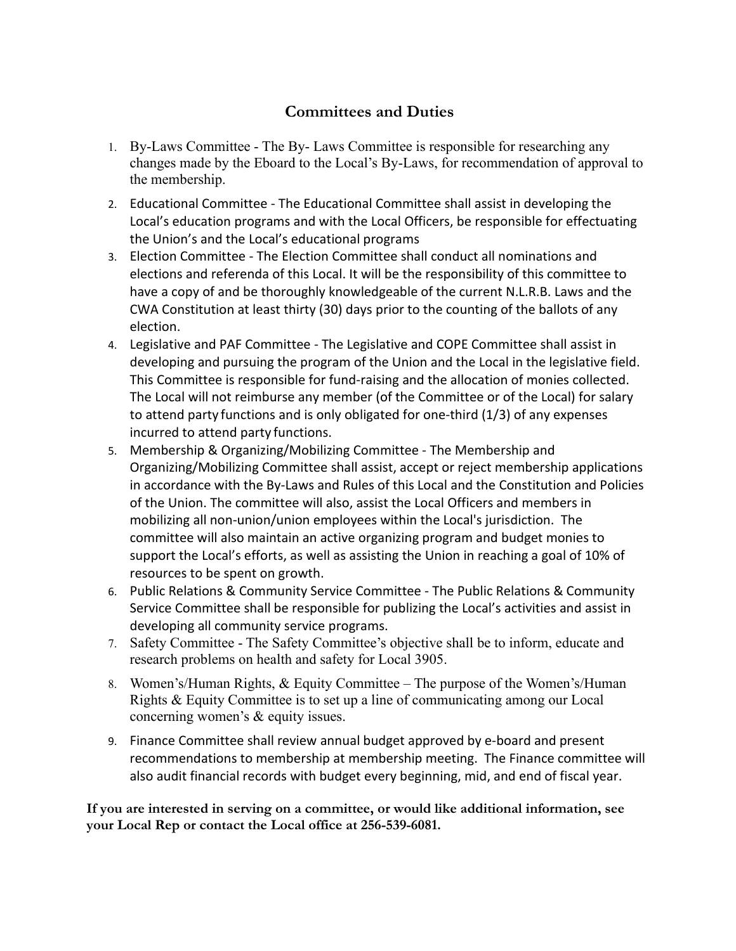## **Committees and Duties**

- 1. By-Laws Committee The By- Laws Committee is responsible for researching any changes made by the Eboard to the Local's By-Laws, for recommendation of approval to the membership.
- 2. Educational Committee The Educational Committee shall assist in developing the Local's education programs and with the Local Officers, be responsible for effectuating the Union's and the Local's educational programs
- 3. Election Committee The Election Committee shall conduct all nominations and elections and referenda of this Local. It will be the responsibility of this committee to have a copy of and be thoroughly knowledgeable of the current N.L.R.B. Laws and the CWA Constitution at least thirty (30) days prior to the counting of the ballots of any election.
- 4. Legislative and PAF Committee The Legislative and COPE Committee shall assist in developing and pursuing the program of the Union and the Local in the legislative field. This Committee is responsible for fund-raising and the allocation of monies collected. The Local will not reimburse any member (of the Committee or of the Local) for salary to attend party functions and is only obligated for one-third (1/3) of any expenses incurred to attend party functions.
- 5. Membership & Organizing/Mobilizing Committee The Membership and Organizing/Mobilizing Committee shall assist, accept or reject membership applications in accordance with the By-Laws and Rules of this Local and the Constitution and Policies of the Union. The committee will also, assist the Local Officers and members in mobilizing all non-union/union employees within the Local's jurisdiction. The committee will also maintain an active organizing program and budget monies to support the Local's efforts, as well as assisting the Union in reaching a goal of 10% of resources to be spent on growth.
- 6. Public Relations & Community Service Committee The Public Relations & Community Service Committee shall be responsible for publizing the Local's activities and assist in developing all community service programs.
- 7. Safety Committee The Safety Committee's objective shall be to inform, educate and research problems on health and safety for Local 3905.
- 8. Women's/Human Rights, & Equity Committee The purpose of the Women's/Human Rights & Equity Committee is to set up a line of communicating among our Local concerning women's & equity issues.
- 9. Finance Committee shall review annual budget approved by e-board and present recommendations to membership at membership meeting. The Finance committee will also audit financial records with budget every beginning, mid, and end of fiscal year.

**If you are interested in serving on a committee, or would like additional information, see your Local Rep or contact the Local office at 256-539-6081.**